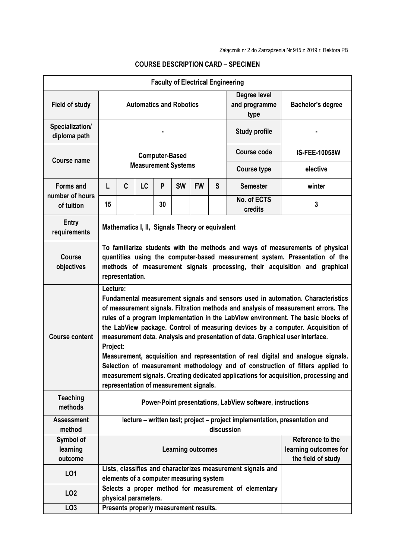| <b>Faculty of Electrical Engineering</b>          |                                                                                                                                                                                                                                                                                                                                                                                                                                                                                                                                                                                                                                                                                                                                                                  |                                         |                                                                               |    |           |           |                                       |                                                             |                      |  |
|---------------------------------------------------|------------------------------------------------------------------------------------------------------------------------------------------------------------------------------------------------------------------------------------------------------------------------------------------------------------------------------------------------------------------------------------------------------------------------------------------------------------------------------------------------------------------------------------------------------------------------------------------------------------------------------------------------------------------------------------------------------------------------------------------------------------------|-----------------------------------------|-------------------------------------------------------------------------------|----|-----------|-----------|---------------------------------------|-------------------------------------------------------------|----------------------|--|
| <b>Field of study</b>                             | <b>Automatics and Robotics</b>                                                                                                                                                                                                                                                                                                                                                                                                                                                                                                                                                                                                                                                                                                                                   |                                         |                                                                               |    |           |           | Degree level<br>and programme<br>type | <b>Bachelor's degree</b>                                    |                      |  |
| Specialization/<br>diploma path                   |                                                                                                                                                                                                                                                                                                                                                                                                                                                                                                                                                                                                                                                                                                                                                                  |                                         |                                                                               |    |           |           |                                       | <b>Study profile</b>                                        |                      |  |
| <b>Course name</b>                                | <b>Computer-Based</b><br><b>Measurement Systems</b>                                                                                                                                                                                                                                                                                                                                                                                                                                                                                                                                                                                                                                                                                                              |                                         |                                                                               |    |           |           |                                       | <b>Course code</b>                                          | <b>IS-FEE-10058W</b> |  |
|                                                   |                                                                                                                                                                                                                                                                                                                                                                                                                                                                                                                                                                                                                                                                                                                                                                  |                                         |                                                                               |    |           |           |                                       | <b>Course type</b>                                          | elective             |  |
| <b>Forms and</b><br>number of hours<br>of tuition | L                                                                                                                                                                                                                                                                                                                                                                                                                                                                                                                                                                                                                                                                                                                                                                | C                                       | <b>LC</b>                                                                     | P  | <b>SW</b> | <b>FW</b> | S                                     | <b>Semester</b>                                             | winter               |  |
|                                                   | 15                                                                                                                                                                                                                                                                                                                                                                                                                                                                                                                                                                                                                                                                                                                                                               |                                         |                                                                               | 30 |           |           |                                       | No. of ECTS<br>credits                                      | 3                    |  |
| <b>Entry</b><br>requirements                      | Mathematics I, II, Signals Theory or equivalent                                                                                                                                                                                                                                                                                                                                                                                                                                                                                                                                                                                                                                                                                                                  |                                         |                                                                               |    |           |           |                                       |                                                             |                      |  |
| <b>Course</b><br>objectives                       | To familiarize students with the methods and ways of measurements of physical<br>quantities using the computer-based measurement system. Presentation of the<br>methods of measurement signals processing, their acquisition and graphical<br>representation.                                                                                                                                                                                                                                                                                                                                                                                                                                                                                                    |                                         |                                                                               |    |           |           |                                       |                                                             |                      |  |
| <b>Course content</b>                             | Lecture:<br>Fundamental measurement signals and sensors used in automation. Characteristics<br>of measurement signals. Filtration methods and analysis of measurement errors. The<br>rules of a program implementation in the LabView environment. The basic blocks of<br>the LabView package. Control of measuring devices by a computer. Acquisition of<br>measurement data. Analysis and presentation of data. Graphical user interface.<br>Project:<br>Measurement, acquisition and representation of real digital and analogue signals.<br>Selection of measurement methodology and of construction of filters applied to<br>measurement signals. Creating dedicated applications for acquisition, processing and<br>representation of measurement signals. |                                         |                                                                               |    |           |           |                                       |                                                             |                      |  |
| <b>Teaching</b><br>methods                        | Power-Point presentations, LabView software, instructions                                                                                                                                                                                                                                                                                                                                                                                                                                                                                                                                                                                                                                                                                                        |                                         |                                                                               |    |           |           |                                       |                                                             |                      |  |
| <b>Assessment</b><br>method                       | lecture - written test; project - project implementation, presentation and<br>discussion                                                                                                                                                                                                                                                                                                                                                                                                                                                                                                                                                                                                                                                                         |                                         |                                                                               |    |           |           |                                       |                                                             |                      |  |
| Symbol of<br>learning<br>outcome                  | Reference to the<br><b>Learning outcomes</b>                                                                                                                                                                                                                                                                                                                                                                                                                                                                                                                                                                                                                                                                                                                     |                                         |                                                                               |    |           |           |                                       | learning outcomes for<br>the field of study                 |                      |  |
| L01                                               |                                                                                                                                                                                                                                                                                                                                                                                                                                                                                                                                                                                                                                                                                                                                                                  | elements of a computer measuring system |                                                                               |    |           |           |                                       | Lists, classifies and characterizes measurement signals and |                      |  |
| LO <sub>2</sub>                                   |                                                                                                                                                                                                                                                                                                                                                                                                                                                                                                                                                                                                                                                                                                                                                                  |                                         | Selects a proper method for measurement of elementary<br>physical parameters. |    |           |           |                                       |                                                             |                      |  |
| LO <sub>3</sub>                                   |                                                                                                                                                                                                                                                                                                                                                                                                                                                                                                                                                                                                                                                                                                                                                                  | Presents properly measurement results.  |                                                                               |    |           |           |                                       |                                                             |                      |  |

## **COURSE DESCRIPTION CARD – SPECIMEN**